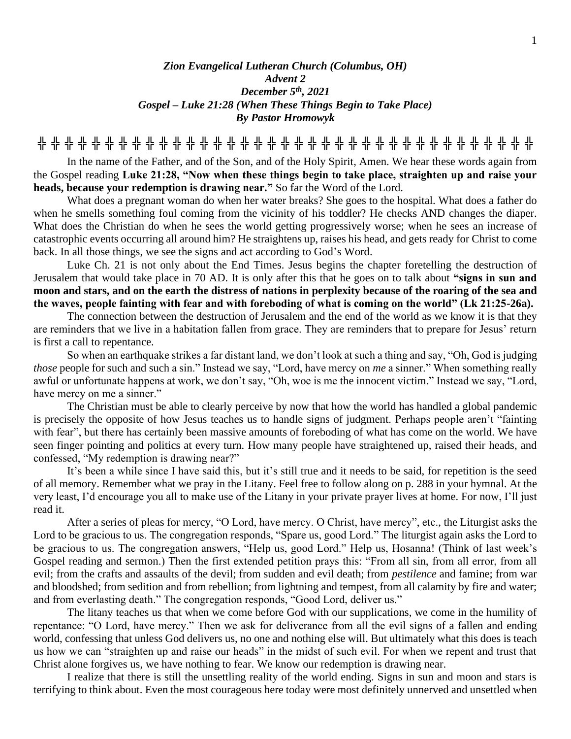## *Zion Evangelical Lutheran Church (Columbus, OH) Advent 2 December 5th, 2021 Gospel – Luke 21:28 (When These Things Begin to Take Place) By Pastor Hromowyk*

**╬ ╬ ╬ ╬ ╬ ╬ ╬ ╬ ╬ ╬ ╬ ╬ ╬ ╬ ╬ ╬ ╬ ╬ ╬ ╬ ╬ ╬ ╬ ╬ ╬ ╬ ╬ ╬ ╬ ╬ ╬ ╬ ╬ ╬ ╬ ╬ ╬**

In the name of the Father, and of the Son, and of the Holy Spirit, Amen. We hear these words again from the Gospel reading **Luke 21:28, "Now when these things begin to take place, straighten up and raise your heads, because your redemption is drawing near."** So far the Word of the Lord.

What does a pregnant woman do when her water breaks? She goes to the hospital. What does a father do when he smells something foul coming from the vicinity of his toddler? He checks AND changes the diaper. What does the Christian do when he sees the world getting progressively worse; when he sees an increase of catastrophic events occurring all around him? He straightens up, raises his head, and gets ready for Christ to come back. In all those things, we see the signs and act according to God's Word.

Luke Ch. 21 is not only about the End Times. Jesus begins the chapter foretelling the destruction of Jerusalem that would take place in 70 AD. It is only after this that he goes on to talk about **"signs in sun and moon and stars, and on the earth the distress of nations in perplexity because of the roaring of the sea and the waves, people fainting with fear and with foreboding of what is coming on the world" (Lk 21:25-26a).**

The connection between the destruction of Jerusalem and the end of the world as we know it is that they are reminders that we live in a habitation fallen from grace. They are reminders that to prepare for Jesus' return is first a call to repentance.

So when an earthquake strikes a far distant land, we don't look at such a thing and say, "Oh, God is judging *those* people for such and such a sin." Instead we say, "Lord, have mercy on *me* a sinner." When something really awful or unfortunate happens at work, we don't say, "Oh, woe is me the innocent victim." Instead we say, "Lord, have mercy on me a sinner."

The Christian must be able to clearly perceive by now that how the world has handled a global pandemic is precisely the opposite of how Jesus teaches us to handle signs of judgment. Perhaps people aren't "fainting with fear", but there has certainly been massive amounts of foreboding of what has come on the world. We have seen finger pointing and politics at every turn. How many people have straightened up, raised their heads, and confessed, "My redemption is drawing near?"

It's been a while since I have said this, but it's still true and it needs to be said, for repetition is the seed of all memory. Remember what we pray in the Litany. Feel free to follow along on p. 288 in your hymnal. At the very least, I'd encourage you all to make use of the Litany in your private prayer lives at home. For now, I'll just read it.

After a series of pleas for mercy, "O Lord, have mercy. O Christ, have mercy", etc., the Liturgist asks the Lord to be gracious to us. The congregation responds, "Spare us, good Lord." The liturgist again asks the Lord to be gracious to us. The congregation answers, "Help us, good Lord." Help us, Hosanna! (Think of last week's Gospel reading and sermon.) Then the first extended petition prays this: "From all sin, from all error, from all evil; from the crafts and assaults of the devil; from sudden and evil death; from *pestilence* and famine; from war and bloodshed; from sedition and from rebellion; from lightning and tempest, from all calamity by fire and water; and from everlasting death." The congregation responds, "Good Lord, deliver us."

The litany teaches us that when we come before God with our supplications, we come in the humility of repentance: "O Lord, have mercy." Then we ask for deliverance from all the evil signs of a fallen and ending world, confessing that unless God delivers us, no one and nothing else will. But ultimately what this does is teach us how we can "straighten up and raise our heads" in the midst of such evil. For when we repent and trust that Christ alone forgives us, we have nothing to fear. We know our redemption is drawing near.

I realize that there is still the unsettling reality of the world ending. Signs in sun and moon and stars is terrifying to think about. Even the most courageous here today were most definitely unnerved and unsettled when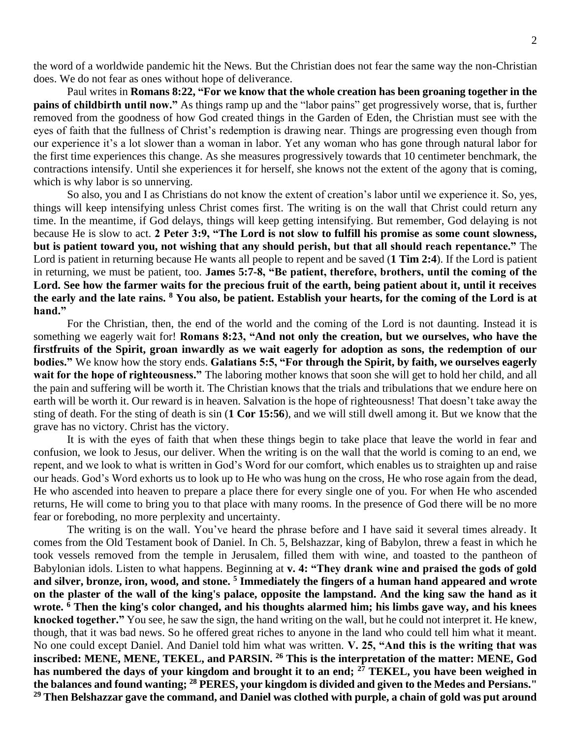the word of a worldwide pandemic hit the News. But the Christian does not fear the same way the non-Christian does. We do not fear as ones without hope of deliverance.

Paul writes in **Romans 8:22, "For we know that the whole creation has been groaning together in the pains of childbirth until now."** As things ramp up and the "labor pains" get progressively worse, that is, further removed from the goodness of how God created things in the Garden of Eden, the Christian must see with the eyes of faith that the fullness of Christ's redemption is drawing near. Things are progressing even though from our experience it's a lot slower than a woman in labor. Yet any woman who has gone through natural labor for the first time experiences this change. As she measures progressively towards that 10 centimeter benchmark, the contractions intensify. Until she experiences it for herself, she knows not the extent of the agony that is coming, which is why labor is so unnerving.

So also, you and I as Christians do not know the extent of creation's labor until we experience it. So, yes, things will keep intensifying unless Christ comes first. The writing is on the wall that Christ could return any time. In the meantime, if God delays, things will keep getting intensifying. But remember, God delaying is not because He is slow to act. **2 Peter 3:9, "The Lord is not slow to fulfill his promise as some count slowness, but is patient toward you, not wishing that any should perish, but that all should reach repentance."** The Lord is patient in returning because He wants all people to repent and be saved (**1 Tim 2:4**). If the Lord is patient in returning, we must be patient, too. **James 5:7-8, "Be patient, therefore, brothers, until the coming of the Lord. See how the farmer waits for the precious fruit of the earth, being patient about it, until it receives the early and the late rains. <sup>8</sup> You also, be patient. Establish your hearts, for the coming of the Lord is at hand."**

For the Christian, then, the end of the world and the coming of the Lord is not daunting. Instead it is something we eagerly wait for! **Romans 8:23, "And not only the creation, but we ourselves, who have the firstfruits of the Spirit, groan inwardly as we wait eagerly for adoption as sons, the redemption of our bodies."** We know how the story ends. **Galatians 5:5, "For through the Spirit, by faith, we ourselves eagerly wait for the hope of righteousness."** The laboring mother knows that soon she will get to hold her child, and all the pain and suffering will be worth it. The Christian knows that the trials and tribulations that we endure here on earth will be worth it. Our reward is in heaven. Salvation is the hope of righteousness! That doesn't take away the sting of death. For the sting of death is sin (**1 Cor 15:56**), and we will still dwell among it. But we know that the grave has no victory. Christ has the victory.

It is with the eyes of faith that when these things begin to take place that leave the world in fear and confusion, we look to Jesus, our deliver. When the writing is on the wall that the world is coming to an end, we repent, and we look to what is written in God's Word for our comfort, which enables us to straighten up and raise our heads. God's Word exhorts us to look up to He who was hung on the cross, He who rose again from the dead, He who ascended into heaven to prepare a place there for every single one of you. For when He who ascended returns, He will come to bring you to that place with many rooms. In the presence of God there will be no more fear or foreboding, no more perplexity and uncertainty.

The writing is on the wall. You've heard the phrase before and I have said it several times already. It comes from the Old Testament book of Daniel. In Ch. 5, Belshazzar, king of Babylon, threw a feast in which he took vessels removed from the temple in Jerusalem, filled them with wine, and toasted to the pantheon of Babylonian idols. Listen to what happens. Beginning at **v. 4: "They drank wine and praised the gods of gold and silver, bronze, iron, wood, and stone. <sup>5</sup> Immediately the fingers of a human hand appeared and wrote on the plaster of the wall of the king's palace, opposite the lampstand. And the king saw the hand as it wrote. <sup>6</sup> Then the king's color changed, and his thoughts alarmed him; his limbs gave way, and his knees knocked together."** You see, he saw the sign, the hand writing on the wall, but he could not interpret it. He knew, though, that it was bad news. So he offered great riches to anyone in the land who could tell him what it meant. No one could except Daniel. And Daniel told him what was written. **V. 25, "And this is the writing that was inscribed: MENE, MENE, TEKEL, and PARSIN. <sup>26</sup> This is the interpretation of the matter: MENE, God has numbered the days of your kingdom and brought it to an end; <sup>27</sup> TEKEL, you have been weighed in the balances and found wanting; <sup>28</sup> PERES, your kingdom is divided and given to the Medes and Persians." <sup>29</sup> Then Belshazzar gave the command, and Daniel was clothed with purple, a chain of gold was put around**